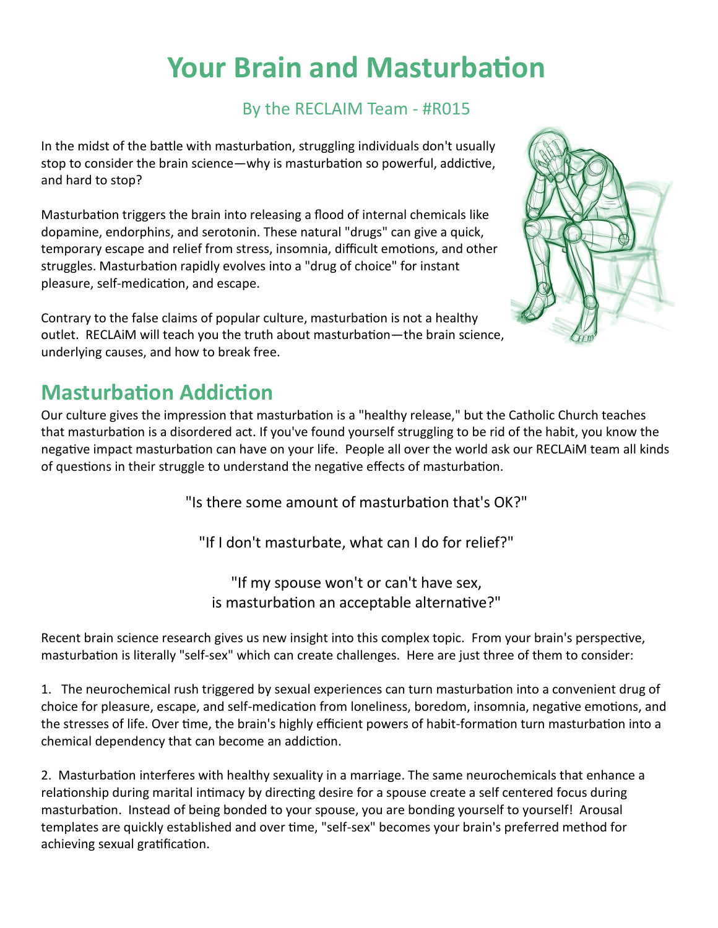## **Your Brain and Masturbation**

## By the RECLAIM Team - #R015

In the midst of the battle with masturbation, struggling individuals don't usually stop to consider the brain science—why is masturbation so powerful, addictive, and hard to stop?

Masturbation triggers the brain into releasing a flood of internal chemicals like dopamine, endorphins, and serotonin. These natural "drugs" can give a quick, temporary escape and relief from stress, insomnia, difficult emotions, and other struggles. Masturbation rapidly evolves into a "drug of choice" for instant pleasure, self-medication, and escape.

Contrary to the false claims of popular culture, masturbation is not a healthy outlet. RECLAiM will teach you the truth about masturbation—the brain science, underlying causes, and how to break free.



## **Masturbation Addiction**

Our culture gives the impression that masturbation is a "healthy release," but the Catholic Church teaches that masturbation is a disordered act. If you've found yourself struggling to be rid of the habit, you know the negative impact masturbation can have on your life. People all over the world ask our RECLAiM team all kinds of questions in their struggle to understand the negative effects of masturbation.

"Is there some amount of masturbation that's OK?"

"If I don't masturbate, what can I do for relief?"

"If my spouse won't or can't have sex, is masturbation an acceptable alternative?"

Recent brain science research gives us new insight into this complex topic. From your brain's perspective, masturbation is literally "self-sex" which can create challenges. Here are just three of them to consider:

1. The neurochemical rush triggered by sexual experiences can turn masturbation into a convenient drug of choice for pleasure, escape, and self-medication from loneliness, boredom, insomnia, negative emotions, and the stresses of life. Over time, the [brain's highly efficient powers of habit](https://reclaimsexualhealth.com/Pornography/more-than-will-power.html)-formation turn masturbation into a chemical dependency that can become an addiction.

2. Masturbation interferes with healthy sexuality in a marriage. The same neurochemicals that enhance a relationship during marital intimacy by directing desire for a spouse create a self centered focus during masturbation. Instead of being bonded to your spouse, you are bonding yourself to yourself! Arousal templates are quickly established and over time, "self-sex" becomes your brain's preferred method for achieving sexual gratification.